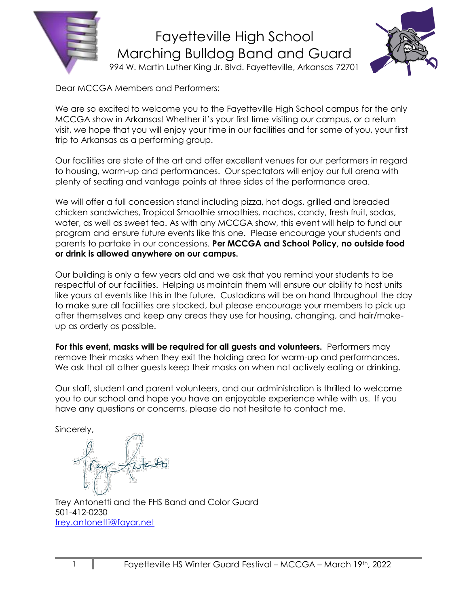



Dear MCCGA Members and Performers:

We are so excited to welcome you to the Fayetteville High School campus for the only MCCGA show in Arkansas! Whether it's your first time visiting our campus, or a return visit, we hope that you will enjoy your time in our facilities and for some of you, your first trip to Arkansas as a performing group.

Our facilities are state of the art and offer excellent venues for our performers in regard to housing, warm-up and performances. Our spectators will enjoy our full arena with plenty of seating and vantage points at three sides of the performance area.

We will offer a full concession stand including pizza, hot dogs, grilled and breaded chicken sandwiches, Tropical Smoothie smoothies, nachos, candy, fresh fruit, sodas, water, as well as sweet tea. As with any MCCGA show, this event will help to fund our program and ensure future events like this one. Please encourage your students and parents to partake in our concessions. **Per MCCGA and School Policy, no outside food or drink is allowed anywhere on our campus.**

Our building is only a few years old and we ask that you remind your students to be respectful of our facilities. Helping us maintain them will ensure our ability to host units like yours at events like this in the future. Custodians will be on hand throughout the day to make sure all facilities are stocked, but please encourage your members to pick up after themselves and keep any areas they use for housing, changing, and hair/makeup as orderly as possible.

**For this event, masks will be required for all guests and volunteers.** Performers may remove their masks when they exit the holding area for warm-up and performances. We ask that all other guests keep their masks on when not actively eating or drinking.

Our staff, student and parent volunteers, and our administration is thrilled to welcome you to our school and hope you have an enjoyable experience while with us. If you have any questions or concerns, please do not hesitate to contact me.

Sincerely,

Trey Antonetti and the FHS Band and Color Guard 501-412-0230 [trey.antonetti@fayar.net](mailto:trey.antonetti@fayar.net)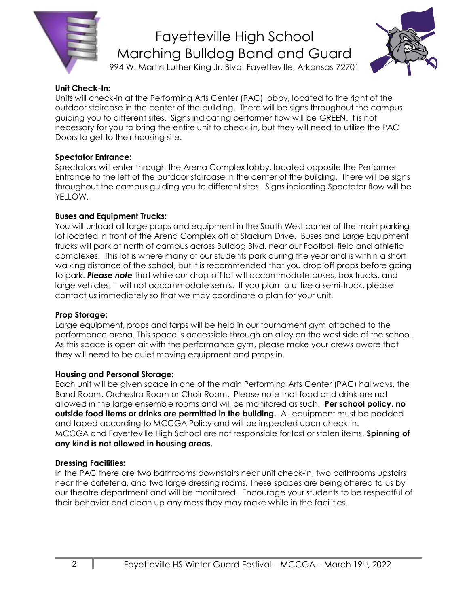

# Fayetteville High School Marching Bulldog Band and Guard



## 994 W. Martin Luther King Jr. Blvd. Fayetteville, Arkansas 72701

#### **Unit Check-In:**

Units will check-in at the Performing Arts Center (PAC) lobby, located to the right of the outdoor staircase in the center of the building. There will be signs throughout the campus guiding you to different sites. Signs indicating performer flow will be GREEN. It is not necessary for you to bring the entire unit to check-in, but they will need to utilize the PAC Doors to get to their housing site.

#### **Spectator Entrance:**

Spectators will enter through the Arena Complex lobby, located opposite the Performer Entrance to the left of the outdoor staircase in the center of the building. There will be signs throughout the campus guiding you to different sites. Signs indicating Spectator flow will be YELLOW.

#### **Buses and Equipment Trucks:**

You will unload all large props and equipment in the South West corner of the main parking lot located in front of the Arena Complex off of Stadium Drive. Buses and Large Equipment trucks will park at north of campus across Bulldog Blvd. near our Football field and athletic complexes. This lot is where many of our students park during the year and is within a short walking distance of the school, but it is recommended that you drop off props before going to park. *Please note* that while our drop-off lot will accommodate buses, box trucks, and large vehicles, it will not accommodate semis. If you plan to utilize a semi-truck, please contact us immediately so that we may coordinate a plan for your unit.

#### **Prop Storage:**

Large equipment, props and tarps will be held in our tournament gym attached to the performance arena. This space is accessible through an alley on the west side of the school. As this space is open air with the performance gym, please make your crews aware that they will need to be quiet moving equipment and props in.

#### **Housing and Personal Storage:**

Each unit will be given space in one of the main Performing Arts Center (PAC) hallways, the Band Room, Orchestra Room or Choir Room. Please note that food and drink are not allowed in the large ensemble rooms and will be monitored as such. **Per school policy, no outside food items or drinks are permitted in the building.** All equipment must be padded and taped according to MCCGA Policy and will be inspected upon check-in. MCCGA and Fayetteville High School are not responsible for lost or stolen items. **Spinning of any kind is not allowed in housing areas.** 

## **Dressing Facilities:**

In the PAC there are two bathrooms downstairs near unit check-in, two bathrooms upstairs near the cafeteria, and two large dressing rooms. These spaces are being offered to us by our theatre department and will be monitored. Encourage your students to be respectful of their behavior and clean up any mess they may make while in the facilities.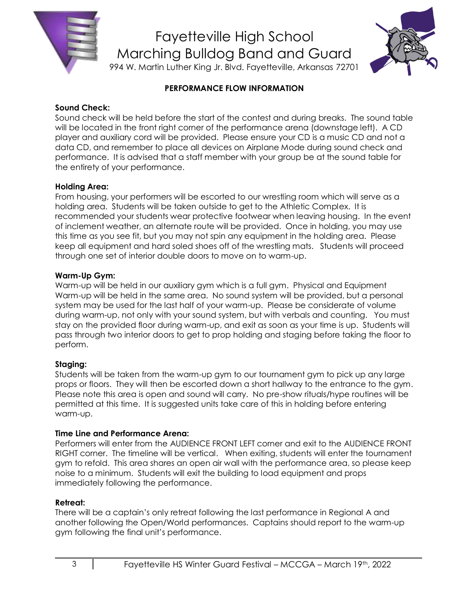



## **PERFORMANCE FLOW INFORMATION**

#### **Sound Check:**

Sound check will be held before the start of the contest and during breaks. The sound table will be located in the front right corner of the performance arena (downstage left). A CD player and auxiliary cord will be provided. Please ensure your CD is a music CD and not a data CD, and remember to place all devices on Airplane Mode during sound check and performance. It is advised that a staff member with your group be at the sound table for the entirety of your performance.

#### **Holding Area:**

From housing, your performers will be escorted to our wrestling room which will serve as a holding area. Students will be taken outside to get to the Athletic Complex. It is recommended your students wear protective footwear when leaving housing. In the event of inclement weather, an alternate route will be provided. Once in holding, you may use this time as you see fit, but you may not spin any equipment in the holding area. Please keep all equipment and hard soled shoes off of the wrestling mats. Students will proceed through one set of interior double doors to move on to warm-up.

#### **Warm-Up Gym:**

Warm-up will be held in our auxiliary gym which is a full gym. Physical and Equipment Warm-up will be held in the same area. No sound system will be provided, but a personal system may be used for the last half of your warm-up. Please be considerate of volume during warm-up, not only with your sound system, but with verbals and counting. You must stay on the provided floor during warm-up, and exit as soon as your time is up. Students will pass through two interior doors to get to prop holding and staging before taking the floor to perform.

## **Staging:**

Students will be taken from the warm-up gym to our tournament gym to pick up any large props or floors. They will then be escorted down a short hallway to the entrance to the gym. Please note this area is open and sound will carry. No pre-show rituals/hype routines will be permitted at this time. It is suggested units take care of this in holding before entering warm-up.

#### **Time Line and Performance Arena:**

Performers will enter from the AUDIENCE FRONT LEFT corner and exit to the AUDIENCE FRONT RIGHT corner. The timeline will be vertical. When exiting, students will enter the tournament gym to refold. This area shares an open air wall with the performance area, so please keep noise to a minimum. Students will exit the building to load equipment and props immediately following the performance.

## **Retreat:**

There will be a captain's only retreat following the last performance in Regional A and another following the Open/World performances. Captains should report to the warm-up gym following the final unit's performance.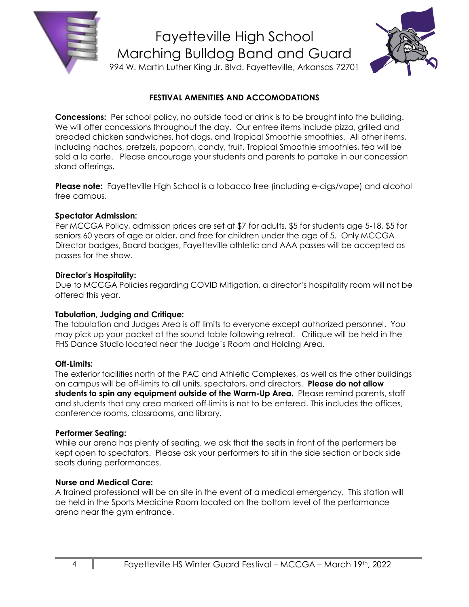



### **FESTIVAL AMENITIES AND ACCOMODATIONS**

**Concessions:** Per school policy, no outside food or drink is to be brought into the building. We will offer concessions throughout the day. Our entree items include pizza, grilled and breaded chicken sandwiches, hot dogs, and Tropical Smoothie smoothies. All other items, including nachos, pretzels, popcorn, candy, fruit, Tropical Smoothie smoothies, tea will be sold a la carte. Please encourage your students and parents to partake in our concession stand offerings.

**Please note:** Fayetteville High School is a tobacco free (including e-cigs/vape) and alcohol free campus.

#### **Spectator Admission:**

Per MCCGA Policy, admission prices are set at \$7 for adults, \$5 for students age 5-18, \$5 for seniors 60 years of age or older, and free for children under the age of 5. Only MCCGA Director badges, Board badges, Fayetteville athletic and AAA passes will be accepted as passes for the show.

#### **Director's Hospitality:**

Due to MCCGA Policies regarding COVID Mitigation, a director's hospitality room will not be offered this year.

#### **Tabulation, Judging and Critique:**

The tabulation and Judges Area is off limits to everyone except authorized personnel. You may pick up your packet at the sound table following retreat. Critique will be held in the FHS Dance Studio located near the Judge's Room and Holding Area.

#### **Off-Limits:**

The exterior facilities north of the PAC and Athletic Complexes, as well as the other buildings on campus will be off-limits to all units, spectators, and directors. **Please do not allow students to spin any equipment outside of the Warm-Up Area.** Please remind parents, staff and students that any area marked off-limits is not to be entered. This includes the offices, conference rooms, classrooms, and library.

#### **Performer Seating:**

While our arena has plenty of seating, we ask that the seats in front of the performers be kept open to spectators. Please ask your performers to sit in the side section or back side seats during performances.

#### **Nurse and Medical Care:**

A trained professional will be on site in the event of a medical emergency. This station will be held in the Sports Medicine Room located on the bottom level of the performance arena near the gym entrance.